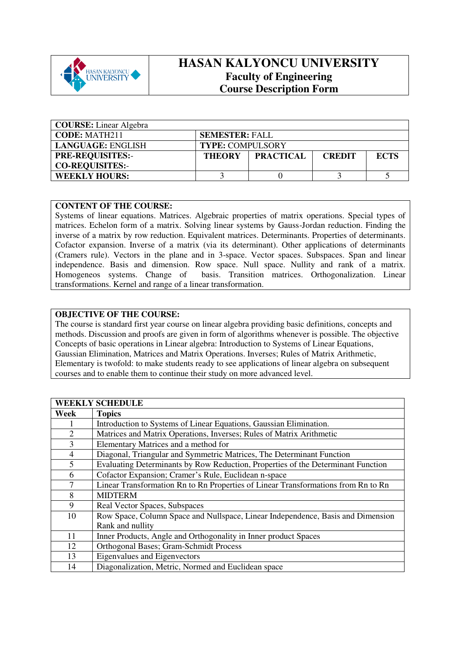

## **HASAN KALYONCU UNIVERSITY Faculty of Engineering Course Description Form**

| <b>COURSE:</b> Linear Algebra |                         |                  |               |             |
|-------------------------------|-------------------------|------------------|---------------|-------------|
| <b>CODE: MATH211</b>          | <b>SEMESTER: FALL</b>   |                  |               |             |
| LANGUAGE: ENGLISH             | <b>TYPE: COMPULSORY</b> |                  |               |             |
| <b>PRE-REQUISITES:-</b>       | <b>THEORY</b>           | <b>PRACTICAL</b> | <b>CREDIT</b> | <b>ECTS</b> |
| <b>CO-REQUISITES:-</b>        |                         |                  |               |             |
| <b>WEEKLY HOURS:</b>          |                         |                  |               |             |

## **CONTENT OF THE COURSE:**

Systems of linear equations. Matrices. Algebraic properties of matrix operations. Special types of matrices. Echelon form of a matrix. Solving linear systems by Gauss-Jordan reduction. Finding the inverse of a matrix by row reduction. Equivalent matrices. Determinants. Properties of determinants. Cofactor expansion. Inverse of a matrix (via its determinant). Other applications of determinants (Cramers rule). Vectors in the plane and in 3-space. Vector spaces. Subspaces. Span and linear independence. Basis and dimension. Row space. Null space. Nullity and rank of a matrix. Homogeneos systems. Change of basis. Transition matrices. Orthogonalization. Linear transformations. Kernel and range of a linear transformation.

## **OBJECTIVE OF THE COURSE:**

The course is standard first year course on linear algebra providing basic definitions, concepts and methods. Discussion and proofs are given in form of algorithms whenever is possible. The objective Concepts of basic operations in Linear algebra: Introduction to Systems of Linear Equations, Gaussian Elimination, Matrices and Matrix Operations. Inverses; Rules of Matrix Arithmetic, Elementary is twofold: to make students ready to see applications of linear algebra on subsequent courses and to enable them to continue their study on more advanced level.

| <b>WEEKLY SCHEDULE</b> |                                                                                   |  |  |  |
|------------------------|-----------------------------------------------------------------------------------|--|--|--|
| Week                   | <b>Topics</b>                                                                     |  |  |  |
| 1                      | Introduction to Systems of Linear Equations, Gaussian Elimination.                |  |  |  |
| $\overline{2}$         | Matrices and Matrix Operations, Inverses; Rules of Matrix Arithmetic              |  |  |  |
| 3                      | Elementary Matrices and a method for                                              |  |  |  |
| $\overline{4}$         | Diagonal, Triangular and Symmetric Matrices, The Determinant Function             |  |  |  |
| 5                      | Evaluating Determinants by Row Reduction, Properties of the Determinant Function  |  |  |  |
| 6                      | Cofactor Expansion; Cramer's Rule, Euclidean n-space                              |  |  |  |
| 7                      | Linear Transformation Rn to Rn Properties of Linear Transformations from Rn to Rn |  |  |  |
| 8                      | <b>MIDTERM</b>                                                                    |  |  |  |
| 9                      | Real Vector Spaces, Subspaces                                                     |  |  |  |
| 10                     | Row Space, Column Space and Nullspace, Linear Independence, Basis and Dimension   |  |  |  |
|                        | Rank and nullity                                                                  |  |  |  |
| 11                     | Inner Products, Angle and Orthogonality in Inner product Spaces                   |  |  |  |
| 12                     | Orthogonal Bases; Gram-Schmidt Process                                            |  |  |  |
| 13                     | Eigenvalues and Eigenvectors                                                      |  |  |  |
| 14                     | Diagonalization, Metric, Normed and Euclidean space                               |  |  |  |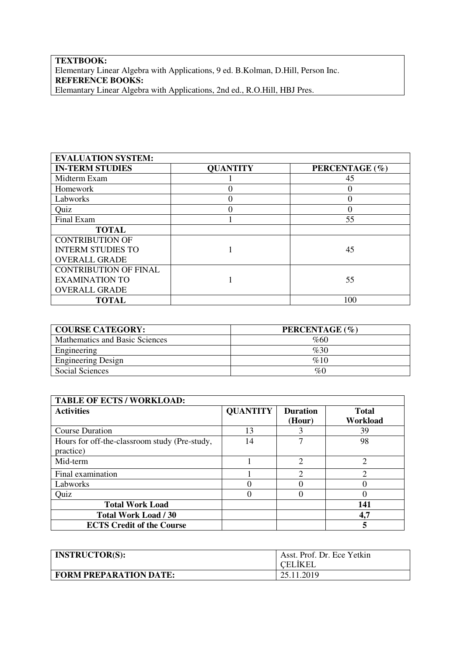## **TEXTBOOK:** Elementary Linear Algebra with Applications, 9 ed. B.Kolman, D.Hill, Person Inc. **REFERENCE BOOKS:**  Elemantary Linear Algebra with Applications, 2nd ed., R.O.Hill, HBJ Pres.

| <b>EVALUATION SYSTEM:</b>    |                 |                |
|------------------------------|-----------------|----------------|
| <b>IN-TERM STUDIES</b>       | <b>QUANTITY</b> | PERCENTAGE (%) |
| Midterm Exam                 |                 | 45             |
| Homework                     |                 | 0              |
| Labworks                     |                 | $\Omega$       |
| Quiz                         |                 |                |
| Final Exam                   |                 | 55             |
| <b>TOTAL</b>                 |                 |                |
| <b>CONTRIBUTION OF</b>       |                 |                |
| <b>INTERM STUDIES TO</b>     |                 | 45             |
| <b>OVERALL GRADE</b>         |                 |                |
| <b>CONTRIBUTION OF FINAL</b> |                 |                |
| <b>EXAMINATION TO</b>        |                 | 55             |
| <b>OVERALL GRADE</b>         |                 |                |
| <b>TOTAL</b>                 |                 | 100            |

| <b>COURSE CATEGORY:</b>        | PERCENTAGE (%) |
|--------------------------------|----------------|
| Mathematics and Basic Sciences | %60            |
| Engineering                    | %30            |
| <b>Engineering Design</b>      | %10            |
| Social Sciences                | %              |

| <b>TABLE OF ECTS / WORKLOAD:</b>                           |                 |                           |                          |
|------------------------------------------------------------|-----------------|---------------------------|--------------------------|
| <b>Activities</b>                                          | <b>QUANTITY</b> | <b>Duration</b><br>(Hour) | <b>Total</b><br>Workload |
| <b>Course Duration</b>                                     | 13              |                           | 39                       |
| Hours for off-the-classroom study (Pre-study,<br>practice) | 14              |                           | 98                       |
| Mid-term                                                   |                 | $\mathfrak{D}$            | $\mathfrak{D}$           |
| Final examination                                          |                 | ↑                         | ↑                        |
| Labworks                                                   |                 |                           |                          |
| Quiz                                                       |                 |                           |                          |
| <b>Total Work Load</b>                                     |                 |                           | 141                      |
| <b>Total Work Load / 30</b>                                |                 |                           | 4,7                      |
| <b>ECTS Credit of the Course</b>                           |                 |                           | 5                        |

| <b>INSTRUCTOR(S):</b>         | Asst. Prof. Dr. Ece Yetkin<br><b>CELIKEL</b> |
|-------------------------------|----------------------------------------------|
| <b>FORM PREPARATION DATE:</b> | 25.11.2019                                   |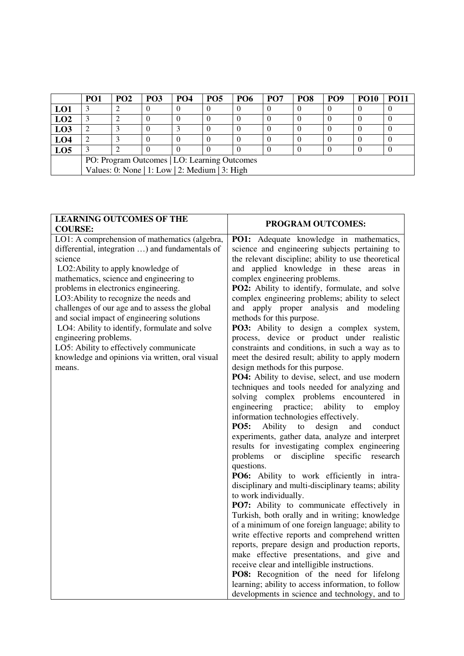|                 | PO <sub>1</sub>                                | PO <sub>2</sub> | PO <sub>3</sub> | <b>PO4</b> | <b>PO5</b> | PO <sub>6</sub> | PO <sub>7</sub> | PO <sub>8</sub> | PO <sub>9</sub> | <b>PO10</b> | <b>PO11</b> |
|-----------------|------------------------------------------------|-----------------|-----------------|------------|------------|-----------------|-----------------|-----------------|-----------------|-------------|-------------|
| LO1             |                                                |                 |                 |            | U          |                 |                 |                 |                 |             |             |
| LO2             |                                                |                 |                 |            | U          |                 |                 |                 |                 |             |             |
| LO3             |                                                |                 |                 |            | O          |                 |                 |                 |                 |             |             |
| LO <sub>4</sub> |                                                |                 |                 |            |            |                 |                 |                 |                 |             |             |
| LO <sub>5</sub> |                                                |                 |                 |            |            |                 |                 |                 |                 |             |             |
|                 | PO: Program Outcomes   LO: Learning Outcomes   |                 |                 |            |            |                 |                 |                 |                 |             |             |
|                 | Values: 0: None   1: Low   2: Medium   3: High |                 |                 |            |            |                 |                 |                 |                 |             |             |

| <b>LEARNING OUTCOMES OF THE</b>                                                              | PROGRAM OUTCOMES:                                                           |
|----------------------------------------------------------------------------------------------|-----------------------------------------------------------------------------|
| <b>COURSE:</b>                                                                               |                                                                             |
| LO1: A comprehension of mathematics (algebra,                                                | PO1: Adequate knowledge in mathematics,                                     |
| differential, integration ) and fundamentals of                                              | science and engineering subjects pertaining to                              |
| science                                                                                      | the relevant discipline; ability to use theoretical                         |
| LO2: Ability to apply knowledge of                                                           | and applied knowledge in these areas in                                     |
| mathematics, science and engineering to                                                      | complex engineering problems.                                               |
| problems in electronics engineering.                                                         | PO2: Ability to identify, formulate, and solve                              |
| LO3: Ability to recognize the needs and                                                      | complex engineering problems; ability to select<br>and                      |
| challenges of our age and to assess the global<br>and social impact of engineering solutions | apply proper analysis and modeling<br>methods for this purpose.             |
| LO4: Ability to identify, formulate and solve                                                | PO3: Ability to design a complex system,                                    |
| engineering problems.                                                                        | process, device or product under realistic                                  |
| LO5: Ability to effectively communicate                                                      | constraints and conditions, in such a way as to                             |
| knowledge and opinions via written, oral visual                                              | meet the desired result; ability to apply modern                            |
| means.                                                                                       | design methods for this purpose.                                            |
|                                                                                              | PO4: Ability to devise, select, and use modern                              |
|                                                                                              | techniques and tools needed for analyzing and                               |
|                                                                                              | solving complex problems encountered in                                     |
|                                                                                              | ability<br>engineering practice;<br>to<br>employ                            |
|                                                                                              | information technologies effectively.                                       |
|                                                                                              | <b>PO5:</b><br>Ability to design<br>and<br>conduct                          |
|                                                                                              | experiments, gather data, analyze and interpret                             |
|                                                                                              | results for investigating complex engineering                               |
|                                                                                              | problems<br>discipline<br>specific<br>research<br><b>or</b>                 |
|                                                                                              | questions.                                                                  |
|                                                                                              | PO6: Ability to work efficiently in intra-                                  |
|                                                                                              | disciplinary and multi-disciplinary teams; ability<br>to work individually. |
|                                                                                              | PO7: Ability to communicate effectively in                                  |
|                                                                                              | Turkish, both orally and in writing; knowledge                              |
|                                                                                              | of a minimum of one foreign language; ability to                            |
|                                                                                              | write effective reports and comprehend written                              |
|                                                                                              | reports, prepare design and production reports,                             |
|                                                                                              | make effective presentations, and give and                                  |
|                                                                                              | receive clear and intelligible instructions.                                |
|                                                                                              | PO8: Recognition of the need for lifelong                                   |
|                                                                                              | learning; ability to access information, to follow                          |
|                                                                                              | developments in science and technology, and to                              |